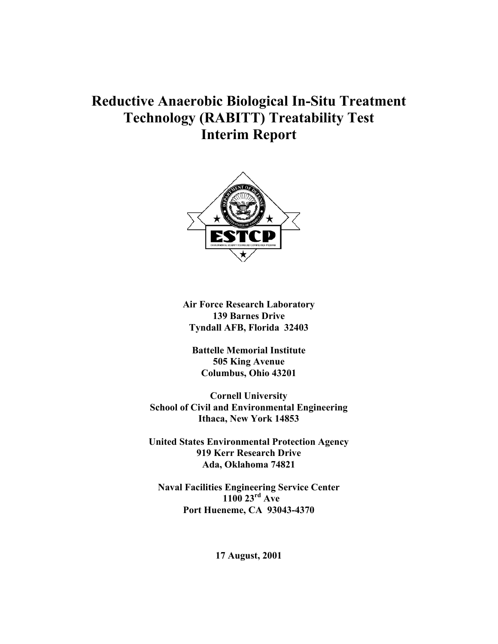# **Reductive Anaerobic Biological In-Situ Treatment Technology (RABITT) Treatability Test Interim Report**



**Air Force Research Laboratory 139 Barnes Drive Tyndall AFB, Florida 32403** 

**Battelle Memorial Institute 505 King Avenue Columbus, Ohio 43201** 

**Cornell University School of Civil and Environmental Engineering Ithaca, New York 14853** 

**United States Environmental Protection Agency 919 Kerr Research Drive Ada, Oklahoma 74821** 

**Naval Facilities Engineering Service Center 1100 23rd Ave Port Hueneme, CA 93043-4370** 

**17 August, 2001**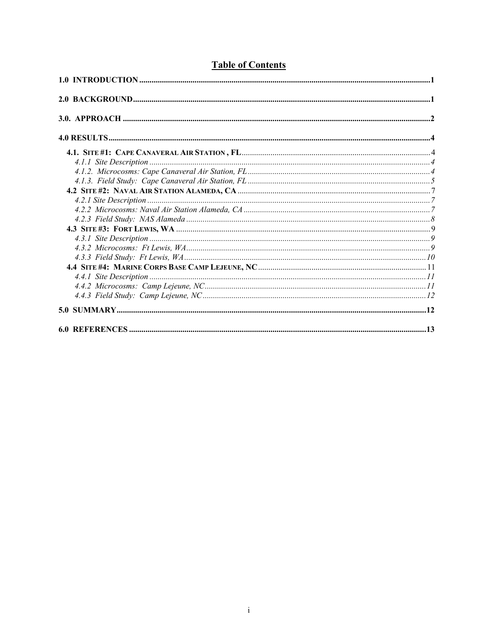# **Table of Contents**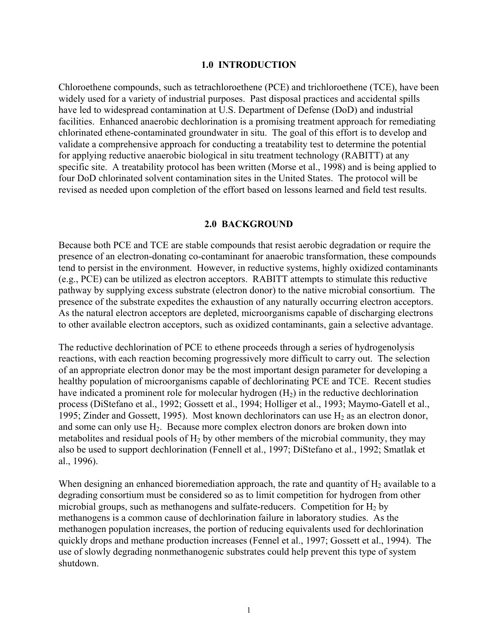#### **1.0 INTRODUCTION**

<span id="page-2-0"></span>Chloroethene compounds, such as tetrachloroethene (PCE) and trichloroethene (TCE), have been widely used for a variety of industrial purposes. Past disposal practices and accidental spills have led to widespread contamination at U.S. Department of Defense (DoD) and industrial facilities. Enhanced anaerobic dechlorination is a promising treatment approach for remediating chlorinated ethene-contaminated groundwater in situ. The goal of this effort is to develop and validate a comprehensive approach for conducting a treatability test to determine the potential for applying reductive anaerobic biological in situ treatment technology (RABITT) at any specific site. A treatability protocol has been written (Morse et al., 1998) and is being applied to four DoD chlorinated solvent contamination sites in the United States. The protocol will be revised as needed upon completion of the effort based on lessons learned and field test results.

#### **2.0 BACKGROUND**

Because both PCE and TCE are stable compounds that resist aerobic degradation or require the presence of an electron-donating co-contaminant for anaerobic transformation, these compounds tend to persist in the environment. However, in reductive systems, highly oxidized contaminants (e.g., PCE) can be utilized as electron acceptors. RABITT attempts to stimulate this reductive pathway by supplying excess substrate (electron donor) to the native microbial consortium. The presence of the substrate expedites the exhaustion of any naturally occurring electron acceptors. As the natural electron acceptors are depleted, microorganisms capable of discharging electrons to other available electron acceptors, such as oxidized contaminants, gain a selective advantage.

The reductive dechlorination of PCE to ethene proceeds through a series of hydrogenolysis reactions, with each reaction becoming progressively more difficult to carry out. The selection of an appropriate electron donor may be the most important design parameter for developing a healthy population of microorganisms capable of dechlorinating PCE and TCE. Recent studies have indicated a prominent role for molecular hydrogen  $(H<sub>2</sub>)$  in the reductive dechlorination process (DiStefano et al., 1992; Gossett et al., 1994; Holliger et al., 1993; Maymo-Gatell et al., 1995; Zinder and Gossett, 1995). Most known dechlorinators can use  $H_2$  as an electron donor, and some can only use  $H<sub>2</sub>$ . Because more complex electron donors are broken down into metabolites and residual pools of  $H_2$  by other members of the microbial community, they may also be used to support dechlorination (Fennell et al., 1997; DiStefano et al., 1992; Smatlak et al., 1996).

When designing an enhanced bioremediation approach, the rate and quantity of  $H_2$  available to a degrading consortium must be considered so as to limit competition for hydrogen from other microbial groups, such as methanogens and sulfate-reducers. Competition for  $H_2$  by methanogens is a common cause of dechlorination failure in laboratory studies. As the methanogen population increases, the portion of reducing equivalents used for dechlorination quickly drops and methane production increases (Fennel et al., 1997; Gossett et al., 1994). The use of slowly degrading nonmethanogenic substrates could help prevent this type of system shutdown.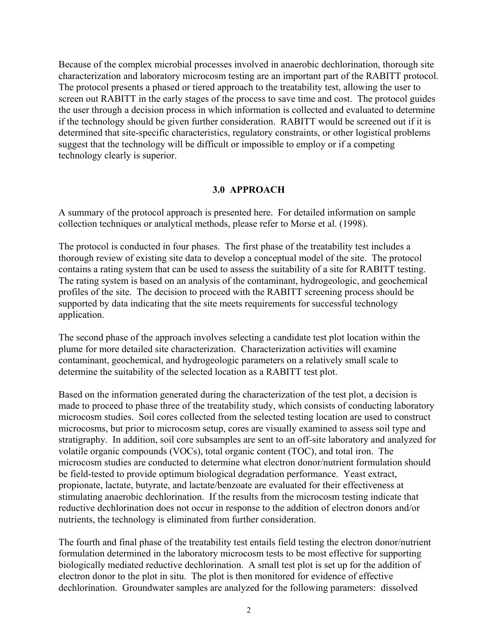<span id="page-3-0"></span>Because of the complex microbial processes involved in anaerobic dechlorination, thorough site characterization and laboratory microcosm testing are an important part of the RABITT protocol. The protocol presents a phased or tiered approach to the treatability test, allowing the user to screen out RABITT in the early stages of the process to save time and cost. The protocol guides the user through a decision process in which information is collected and evaluated to determine if the technology should be given further consideration. RABITT would be screened out if it is determined that site-specific characteristics, regulatory constraints, or other logistical problems suggest that the technology will be difficult or impossible to employ or if a competing technology clearly is superior.

#### **3.0 APPROACH**

A summary of the protocol approach is presented here. For detailed information on sample collection techniques or analytical methods, please refer to Morse et al. (1998).

The protocol is conducted in four phases. The first phase of the treatability test includes a thorough review of existing site data to develop a conceptual model of the site. The protocol contains a rating system that can be used to assess the suitability of a site for RABITT testing. The rating system is based on an analysis of the contaminant, hydrogeologic, and geochemical profiles of the site. The decision to proceed with the RABITT screening process should be supported by data indicating that the site meets requirements for successful technology application.

The second phase of the approach involves selecting a candidate test plot location within the plume for more detailed site characterization. Characterization activities will examine contaminant, geochemical, and hydrogeologic parameters on a relatively small scale to determine the suitability of the selected location as a RABITT test plot.

Based on the information generated during the characterization of the test plot, a decision is made to proceed to phase three of the treatability study, which consists of conducting laboratory microcosm studies. Soil cores collected from the selected testing location are used to construct microcosms, but prior to microcosm setup, cores are visually examined to assess soil type and stratigraphy. In addition, soil core subsamples are sent to an off-site laboratory and analyzed for volatile organic compounds (VOCs), total organic content (TOC), and total iron.The microcosm studies are conducted to determine what electron donor/nutrient formulation should be field-tested to provide optimum biological degradation performance. Yeast extract, propionate, lactate, butyrate, and lactate/benzoate are evaluated for their effectiveness at stimulating anaerobic dechlorination. If the results from the microcosm testing indicate that reductive dechlorination does not occur in response to the addition of electron donors and/or nutrients, the technology is eliminated from further consideration.

The fourth and final phase of the treatability test entails field testing the electron donor/nutrient formulation determined in the laboratory microcosm tests to be most effective for supporting biologically mediated reductive dechlorination.A small test plot is set up for the addition of electron donor to the plot in situ. The plot is then monitored for evidence of effective dechlorination. Groundwater samples are analyzed for the following parameters: dissolved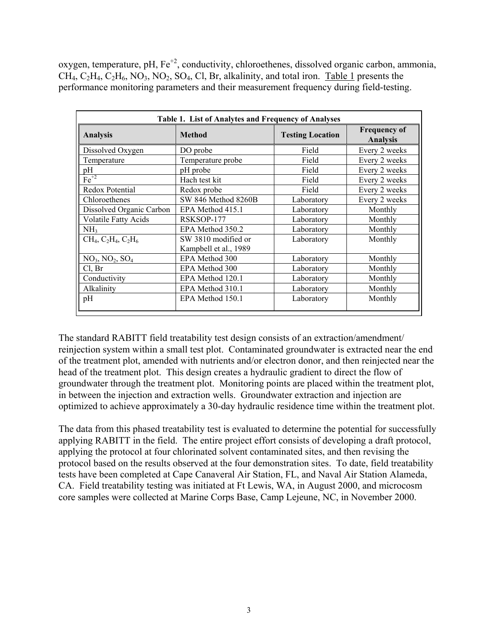oxygen, temperature, pH,  $Fe^{+2}$ , conductivity, chloroethenes, dissolved organic carbon, ammonia,  $CH_4$ ,  $C_2H_4$ ,  $C_2H_6$ ,  $NO_3$ ,  $NO_2$ ,  $SO_4$ ,  $Cl$ ,  $Br$ , alkalinity, and total iron. Table 1 presents the performance monitoring parameters and their measurement frequency during field-testing.

| Table 1. List of Analytes and Frequency of Analyses |                                              |                         |                                        |  |  |  |  |
|-----------------------------------------------------|----------------------------------------------|-------------------------|----------------------------------------|--|--|--|--|
| <b>Analysis</b>                                     | <b>Method</b>                                | <b>Testing Location</b> | <b>Frequency of</b><br><b>Analysis</b> |  |  |  |  |
| Dissolved Oxygen                                    | DO probe                                     | Field                   | Every 2 weeks                          |  |  |  |  |
| Temperature                                         | Temperature probe                            | Field                   | Every 2 weeks                          |  |  |  |  |
| pH                                                  | pH probe                                     | Field                   | Every 2 weeks                          |  |  |  |  |
| $Fe+2$                                              | Hach test kit                                | Field                   | Every 2 weeks                          |  |  |  |  |
| Redox Potential                                     | Redox probe                                  | Field                   | Every 2 weeks                          |  |  |  |  |
| Chloroethenes                                       | SW 846 Method 8260B                          | Laboratory              | Every 2 weeks                          |  |  |  |  |
| Dissolved Organic Carbon                            | EPA Method 415.1                             | Laboratory              | Monthly                                |  |  |  |  |
| <b>Volatile Fatty Acids</b>                         | RSKSOP-177                                   | Laboratory              | Monthly                                |  |  |  |  |
| NH <sub>3</sub>                                     | EPA Method 350.2                             | Laboratory              | Monthly                                |  |  |  |  |
| $CH_4$ , $C_2H_4$ , $C_2H_6$                        | SW 3810 modified or<br>Kampbell et al., 1989 | Laboratory              | Monthly                                |  |  |  |  |
| $NO3, NO2, SO4$                                     | EPA Method 300                               | Laboratory              | Monthly                                |  |  |  |  |
| Cl, Br                                              | EPA Method 300                               | Laboratory              | Monthly                                |  |  |  |  |
| Conductivity                                        | EPA Method 120.1                             | Laboratory              | Monthly                                |  |  |  |  |
| Alkalinity                                          | EPA Method 310.1                             | Laboratory              | Monthly                                |  |  |  |  |
| pH                                                  | EPA Method 150.1                             | Laboratory              | Monthly                                |  |  |  |  |

The standard RABITT field treatability test design consists of an extraction/amendment/ reinjection system within a small test plot. Contaminated groundwater is extracted near the end of the treatment plot, amended with nutrients and/or electron donor, and then reinjected near the head of the treatment plot. This design creates a hydraulic gradient to direct the flow of groundwater through the treatment plot. Monitoring points are placed within the treatment plot, in between the injection and extraction wells. Groundwater extraction and injection are optimized to achieve approximately a 30-day hydraulic residence time within the treatment plot.

The data from this phased treatability test is evaluated to determine the potential for successfully applying RABITT in the field. The entire project effort consists of developing a draft protocol, applying the protocol at four chlorinated solvent contaminated sites, and then revising the protocol based on the results observed at the four demonstration sites. To date, field treatability tests have been completed at Cape Canaveral Air Station, FL, and Naval Air Station Alameda, CA. Field treatability testing was initiated at Ft Lewis, WA, in August 2000, and microcosm core samples were collected at Marine Corps Base, Camp Lejeune, NC, in November 2000.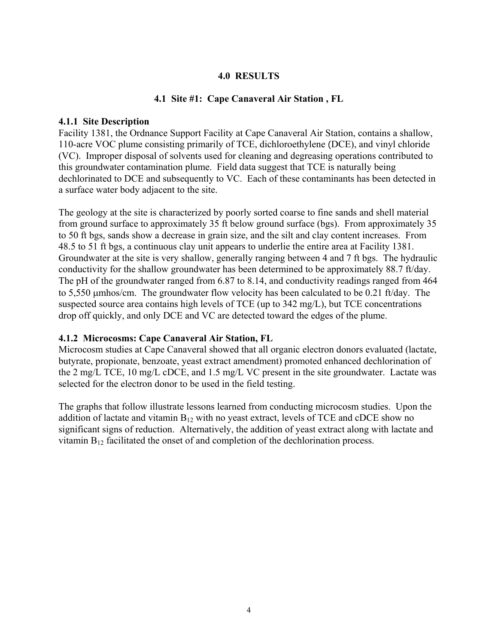#### **4.0 RESULTS**

#### **4.1 Site #1: Cape Canaveral Air Station , FL**

#### <span id="page-5-0"></span>**4.1.1 Site Description**

Facility 1381, the Ordnance Support Facility at Cape Canaveral Air Station, contains a shallow, 110-acre VOC plume consisting primarily of TCE, dichloroethylene (DCE), and vinyl chloride (VC). Improper disposal of solvents used for cleaning and degreasing operations contributed to this groundwater contamination plume. Field data suggest that TCE is naturally being dechlorinated to DCE and subsequently to VC. Each of these contaminants has been detected in a surface water body adjacent to the site.

The geology at the site is characterized by poorly sorted coarse to fine sands and shell material from ground surface to approximately 35 ft below ground surface (bgs). From approximately 35 to 50 ft bgs, sands show a decrease in grain size, and the silt and clay content increases. From 48.5 to 51 ft bgs, a continuous clay unit appears to underlie the entire area at Facility 1381. Groundwater at the site is very shallow, generally ranging between 4 and 7 ft bgs. The hydraulic conductivity for the shallow groundwater has been determined to be approximately 88.7 ft/day. The pH of the groundwater ranged from 6.87 to 8.14, and conductivity readings ranged from 464 to 5,550 µmhos/cm. The groundwater flow velocity has been calculated to be 0.21 ft/day. The suspected source area contains high levels of TCE (up to 342 mg/L), but TCE concentrations drop off quickly, and only DCE and VC are detected toward the edges of the plume.

#### **4.1.2 Microcosms: Cape Canaveral Air Station, FL**

Microcosm studies at Cape Canaveral showed that all organic electron donors evaluated (lactate, butyrate, propionate, benzoate, yeast extract amendment) promoted enhanced dechlorination of the 2 mg/L TCE, 10 mg/L cDCE, and 1.5 mg/L VC present in the site groundwater. Lactate was selected for the electron donor to be used in the field testing.

The graphs that follow illustrate lessons learned from conducting microcosm studies. Upon the addition of lactate and vitamin  $B_{12}$  with no yeast extract, levels of TCE and cDCE show no significant signs of reduction. Alternatively, the addition of yeast extract along with lactate and vitamin  $B_{12}$  facilitated the onset of and completion of the dechlorination process.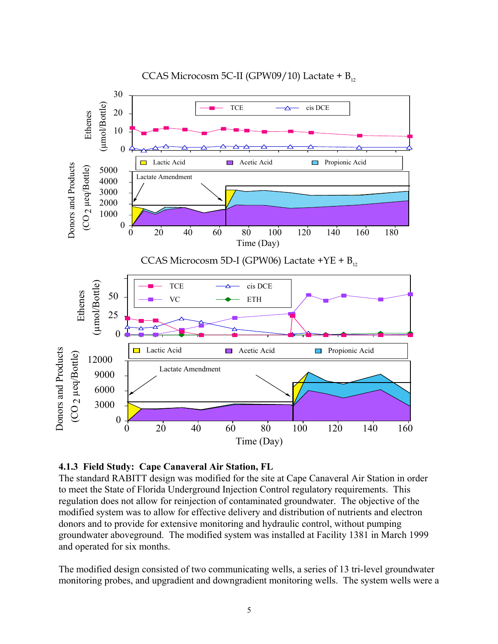<span id="page-6-0"></span>

## CCAS Microcosm 5C-II (GPW09/10) Lactate +  $B_{12}$

#### **4.1.3 Field Study: Cape Canaveral Air Station, FL**

The standard RABITT design was modified for the site at Cape Canaveral Air Station in order to meet the State of Florida Underground Injection Control regulatory requirements. This regulation does not allow for reinjection of contaminated groundwater. The objective of the modified system was to allow for effective delivery and distribution of nutrients and electron donors and to provide for extensive monitoring and hydraulic control, without pumping groundwater aboveground. The modified system was installed at Facility 1381 in March 1999 and operated for six months.

The modified design consisted of two communicating wells, a series of 13 tri-level groundwater monitoring probes, and upgradient and downgradient monitoring wells. The system wells were a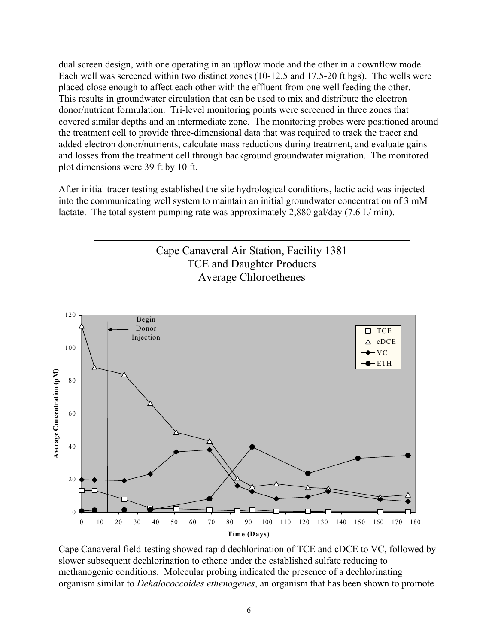dual screen design, with one operating in an upflow mode and the other in a downflow mode. Each well was screened within two distinct zones (10-12.5 and 17.5-20 ft bgs). The wells were placed close enough to affect each other with the effluent from one well feeding the other. This results in groundwater circulation that can be used to mix and distribute the electron donor/nutrient formulation. Tri-level monitoring points were screened in three zones that covered similar depths and an intermediate zone. The monitoring probes were positioned around the treatment cell to provide three-dimensional data that was required to track the tracer and added electron donor/nutrients, calculate mass reductions during treatment, and evaluate gains and losses from the treatment cell through background groundwater migration. The monitored plot dimensions were 39 ft by 10 ft.

After initial tracer testing established the site hydrological conditions, lactic acid was injected into the communicating well system to maintain an initial groundwater concentration of 3 mM lactate. The total system pumping rate was approximately 2,880 gal/day (7.6 L/ min).





**Time (Days)**

Cape Canaveral field-testing showed rapid dechlorination of TCE and cDCE to VC, followed by slower subsequent dechlorination to ethene under the established sulfate reducing to methanogenic conditions. Molecular probing indicated the presence of a dechlorinating organism similar to *Dehalococcoides ethenogenes*, an organism that has been shown to promote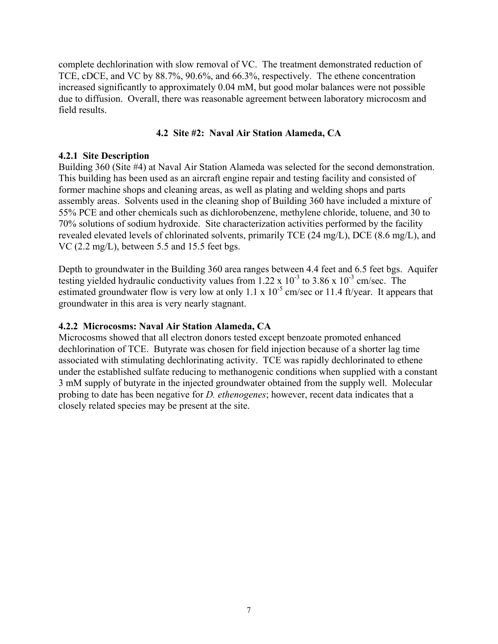<span id="page-8-0"></span>complete dechlorination with slow removal of VC. The treatment demonstrated reduction of TCE, cDCE, and VC by 88.7%, 90.6%, and 66.3%, respectively. The ethene concentration increased significantly to approximately 0.04 mM, but good molar balances were not possible due to diffusion. Overall, there was reasonable agreement between laboratory microcosm and field results.

## **4.2 Site #2: Naval Air Station Alameda, CA**

## **4.2.1 Site Description**

Building 360 (Site #4) at Naval Air Station Alameda was selected for the second demonstration. This building has been used as an aircraft engine repair and testing facility and consisted of former machine shops and cleaning areas, as well as plating and welding shops and parts assembly areas. Solvents used in the cleaning shop of Building 360 have included a mixture of 55% PCE and other chemicals such as dichlorobenzene, methylene chloride, toluene, and 30 to 70% solutions of sodium hydroxide. Site characterization activities performed by the facility revealed elevated levels of chlorinated solvents, primarily TCE (24 mg/L), DCE (8.6 mg/L), and VC (2.2 mg/L), between 5.5 and 15.5 feet bgs.

Depth to groundwater in the Building 360 area ranges between 4.4 feet and 6.5 feet bgs. Aquifer testing yielded hydraulic conductivity values from  $1.22 \times 10^{-3}$  to  $3.86 \times 10^{-3}$  cm/sec. The estimated groundwater flow is very low at only 1.1 x  $10^{-5}$  cm/sec or 11.4 ft/year. It appears that groundwater in this area is very nearly stagnant.

## **4.2.2 Microcosms: Naval Air Station Alameda, CA**

Microcosms showed that all electron donors tested except benzoate promoted enhanced dechlorination of TCE. Butyrate was chosen for field injection because of a shorter lag time associated with stimulating dechlorinating activity. TCE was rapidly dechlorinated to ethene under the established sulfate reducing to methanogenic conditions when supplied with a constant 3 mM supply of butyrate in the injected groundwater obtained from the supply well. Molecular probing to date has been negative for *D. ethenogenes*; however, recent data indicates that a closely related species may be present at the site.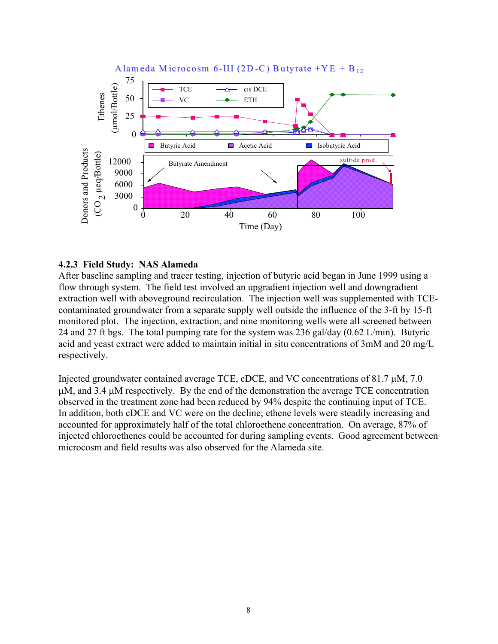<span id="page-9-0"></span>

## **4.2.3 Field Study: NAS Alameda**

After baseline sampling and tracer testing, injection of butyric acid began in June 1999 using a flow through system. The field test involved an upgradient injection well and downgradient extraction well with aboveground recirculation. The injection well was supplemented with TCEcontaminated groundwater from a separate supply well outside the influence of the 3-ft by 15-ft monitored plot. The injection, extraction, and nine monitoring wells were all screened between 24 and 27 ft bgs. The total pumping rate for the system was 236 gal/day (0.62 L/min). Butyric acid and yeast extract were added to maintain initial in situ concentrations of 3mM and 20 mg/L respectively.

Injected groundwater contained average TCE, cDCE, and VC concentrations of 81.7 µM, 7.0 µM, and 3.4 µM respectively. By the end of the demonstration the average TCE concentration observed in the treatment zone had been reduced by 94% despite the continuing input of TCE. In addition, both cDCE and VC were on the decline; ethene levels were steadily increasing and accounted for approximately half of the total chloroethene concentration. On average, 87% of injected chloroethenes could be accounted for during sampling events. Good agreement between microcosm and field results was also observed for the Alameda site.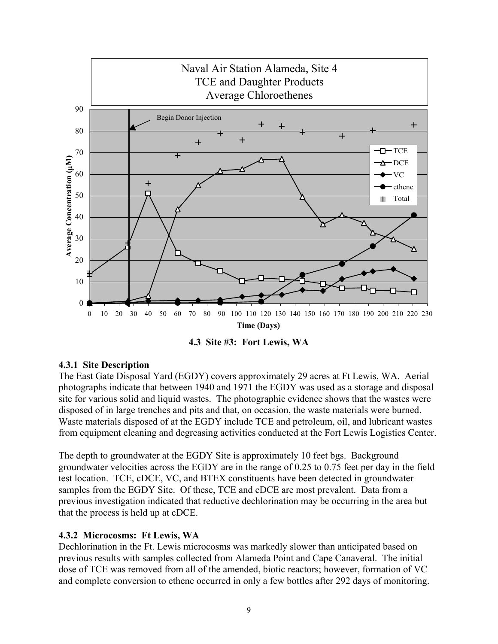<span id="page-10-0"></span>

**4.3 Site #3: Fort Lewis, WA** 

## **4.3.1 Site Description**

The East Gate Disposal Yard (EGDY) covers approximately 29 acres at Ft Lewis, WA. Aerial photographs indicate that between 1940 and 1971 the EGDY was used as a storage and disposal site for various solid and liquid wastes. The photographic evidence shows that the wastes were disposed of in large trenches and pits and that, on occasion, the waste materials were burned. Waste materials disposed of at the EGDY include TCE and petroleum, oil, and lubricant wastes from equipment cleaning and degreasing activities conducted at the Fort Lewis Logistics Center.

The depth to groundwater at the EGDY Site is approximately 10 feet bgs. Background groundwater velocities across the EGDY are in the range of 0.25 to 0.75 feet per day in the field test location. TCE, cDCE, VC, and BTEX constituents have been detected in groundwater samples from the EGDY Site. Of these, TCE and cDCE are most prevalent. Data from a previous investigation indicated that reductive dechlorination may be occurring in the area but that the process is held up at cDCE.

## **4.3.2 Microcosms: Ft Lewis, WA**

Dechlorination in the Ft. Lewis microcosms was markedly slower than anticipated based on previous results with samples collected from Alameda Point and Cape Canaveral. The initial dose of TCE was removed from all of the amended, biotic reactors; however, formation of VC and complete conversion to ethene occurred in only a few bottles after 292 days of monitoring.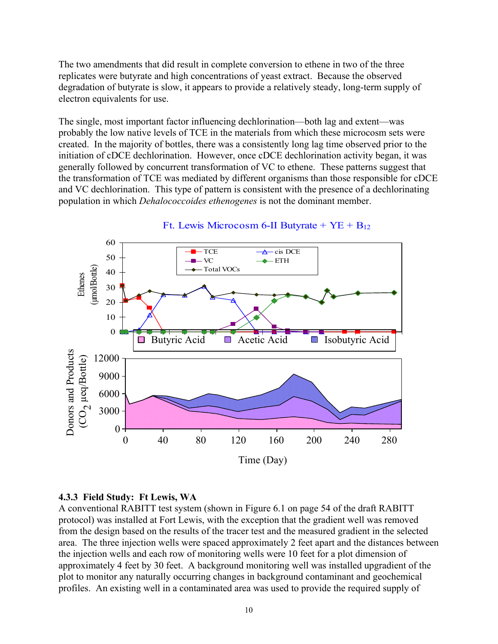<span id="page-11-0"></span>The two amendments that did result in complete conversion to ethene in two of the three replicates were butyrate and high concentrations of yeast extract. Because the observed degradation of butyrate is slow, it appears to provide a relatively steady, long-term supply of electron equivalents for use.

The single, most important factor influencing dechlorination—both lag and extent—was probably the low native levels of TCE in the materials from which these microcosm sets were created. In the majority of bottles, there was a consistently long lag time observed prior to the initiation of cDCE dechlorination. However, once cDCE dechlorination activity began, it was generally followed by concurrent transformation of VC to ethene. These patterns suggest that the transformation of TCE was mediated by different organisms than those responsible for cDCE and VC dechlorination. This type of pattern is consistent with the presence of a dechlorinating population in which *Dehalococcoides ethenogenes* is not the dominant member.



#### Ft. Lewis Microcosm 6-II Butyrate +  $YE + B_{12}$

#### **4.3.3 Field Study: Ft Lewis, WA**

A conventional RABITT test system (shown in Figure 6.1 on page 54 of the draft RABITT protocol) was installed at Fort Lewis, with the exception that the gradient well was removed from the design based on the results of the tracer test and the measured gradient in the selected area. The three injection wells were spaced approximately 2 feet apart and the distances between the injection wells and each row of monitoring wells were 10 feet for a plot dimension of approximately 4 feet by 30 feet. A background monitoring well was installed upgradient of the plot to monitor any naturally occurring changes in background contaminant and geochemical profiles. An existing well in a contaminated area was used to provide the required supply of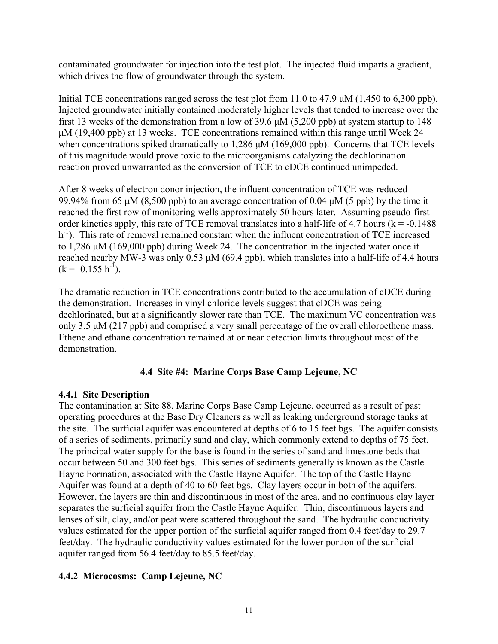<span id="page-12-0"></span>contaminated groundwater for injection into the test plot. The injected fluid imparts a gradient, which drives the flow of groundwater through the system.

Initial TCE concentrations ranged across the test plot from 11.0 to 47.9  $\mu$ M (1,450 to 6,300 ppb). Injected groundwater initially contained moderately higher levels that tended to increase over the first 13 weeks of the demonstration from a low of 39.6 µM (5,200 ppb) at system startup to 148 µM (19,400 ppb) at 13 weeks. TCE concentrations remained within this range until Week 24 when concentrations spiked dramatically to 1,286  $\mu$ M (169,000 ppb). Concerns that TCE levels of this magnitude would prove toxic to the microorganisms catalyzing the dechlorination reaction proved unwarranted as the conversion of TCE to cDCE continued unimpeded.

After 8 weeks of electron donor injection, the influent concentration of TCE was reduced 99.94% from 65  $\mu$ M (8,500 ppb) to an average concentration of 0.04  $\mu$ M (5 ppb) by the time it reached the first row of monitoring wells approximately 50 hours later. Assuming pseudo-first order kinetics apply, this rate of TCE removal translates into a half-life of 4.7 hours ( $k = -0.1488$ ) h<sup>-1</sup>). This rate of removal remained constant when the influent concentration of TCE increased to 1,286 µM (169,000 ppb) during Week 24. The concentration in the injected water once it reached nearby MW-3 was only 0.53  $\mu$ M (69.4 ppb), which translates into a half-life of 4.4 hours  $(k = -0.155 h^{-1})$ .

The dramatic reduction in TCE concentrations contributed to the accumulation of cDCE during the demonstration. Increases in vinyl chloride levels suggest that cDCE was being dechlorinated, but at a significantly slower rate than TCE. The maximum VC concentration was only 3.5 µM (217 ppb) and comprised a very small percentage of the overall chloroethene mass. Ethene and ethane concentration remained at or near detection limits throughout most of the demonstration.

## **4.4 Site #4: Marine Corps Base Camp Lejeune, NC**

## **4.4.1 Site Description**

The contamination at Site 88, Marine Corps Base Camp Lejeune, occurred as a result of past operating procedures at the Base Dry Cleaners as well as leaking underground storage tanks at the site. The surficial aquifer was encountered at depths of 6 to 15 feet bgs. The aquifer consists of a series of sediments, primarily sand and clay, which commonly extend to depths of 75 feet. The principal water supply for the base is found in the series of sand and limestone beds that occur between 50 and 300 feet bgs. This series of sediments generally is known as the Castle Hayne Formation, associated with the Castle Hayne Aquifer. The top of the Castle Hayne Aquifer was found at a depth of 40 to 60 feet bgs. Clay layers occur in both of the aquifers. However, the layers are thin and discontinuous in most of the area, and no continuous clay layer separates the surficial aquifer from the Castle Hayne Aquifer. Thin, discontinuous layers and lenses of silt, clay, and/or peat were scattered throughout the sand. The hydraulic conductivity values estimated for the upper portion of the surficial aquifer ranged from 0.4 feet/day to 29.7 feet/day. The hydraulic conductivity values estimated for the lower portion of the surficial aquifer ranged from 56.4 feet/day to 85.5 feet/day.

## **4.4.2 Microcosms: Camp Lejeune, NC**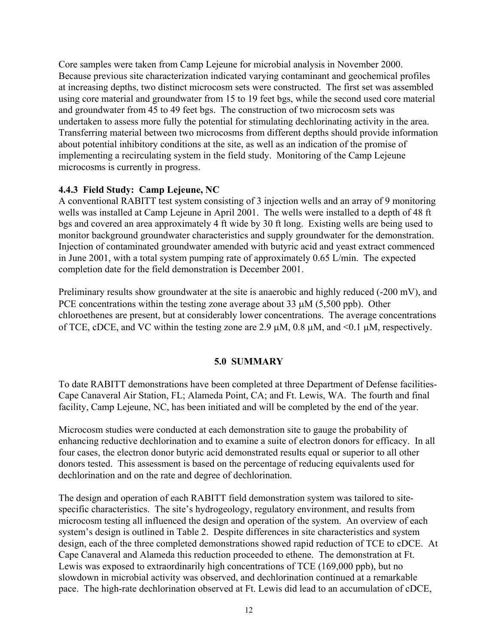<span id="page-13-0"></span>Core samples were taken from Camp Lejeune for microbial analysis in November 2000. Because previous site characterization indicated varying contaminant and geochemical profiles at increasing depths, two distinct microcosm sets were constructed. The first set was assembled using core material and groundwater from 15 to 19 feet bgs, while the second used core material and groundwater from 45 to 49 feet bgs. The construction of two microcosm sets was undertaken to assess more fully the potential for stimulating dechlorinating activity in the area. Transferring material between two microcosms from different depths should provide information about potential inhibitory conditions at the site, as well as an indication of the promise of implementing a recirculating system in the field study. Monitoring of the Camp Lejeune microcosms is currently in progress.

## **4.4.3 Field Study: Camp Lejeune, NC**

A conventional RABITT test system consisting of 3 injection wells and an array of 9 monitoring wells was installed at Camp Lejeune in April 2001. The wells were installed to a depth of 48 ft bgs and covered an area approximately 4 ft wide by 30 ft long. Existing wells are being used to monitor background groundwater characteristics and supply groundwater for the demonstration. Injection of contaminated groundwater amended with butyric acid and yeast extract commenced in June 2001, with a total system pumping rate of approximately 0.65 L/min. The expected completion date for the field demonstration is December 2001.

Preliminary results show groundwater at the site is anaerobic and highly reduced (-200 mV), and PCE concentrations within the testing zone average about 33  $\mu$ M (5,500 ppb). Other chloroethenes are present, but at considerably lower concentrations. The average concentrations of TCE, cDCE, and VC within the testing zone are 2.9  $\mu$ M, 0.8  $\mu$ M, and <0.1  $\mu$ M, respectively.

#### **5.0 SUMMARY**

To date RABITT demonstrations have been completed at three Department of Defense facilities-Cape Canaveral Air Station, FL; Alameda Point, CA; and Ft. Lewis, WA. The fourth and final facility, Camp Lejeune, NC, has been initiated and will be completed by the end of the year.

Microcosm studies were conducted at each demonstration site to gauge the probability of enhancing reductive dechlorination and to examine a suite of electron donors for efficacy. In all four cases, the electron donor butyric acid demonstrated results equal or superior to all other donors tested. This assessment is based on the percentage of reducing equivalents used for dechlorination and on the rate and degree of dechlorination.

The design and operation of each RABITT field demonstration system was tailored to sitespecific characteristics. The site's hydrogeology, regulatory environment, and results from microcosm testing all influenced the design and operation of the system. An overview of each system's design is outlined in Table 2. Despite differences in site characteristics and system design, each of the three completed demonstrations showed rapid reduction of TCE to cDCE. At Cape Canaveral and Alameda this reduction proceeded to ethene. The demonstration at Ft. Lewis was exposed to extraordinarily high concentrations of TCE (169,000 ppb), but no slowdown in microbial activity was observed, and dechlorination continued at a remarkable pace. The high-rate dechlorination observed at Ft. Lewis did lead to an accumulation of cDCE,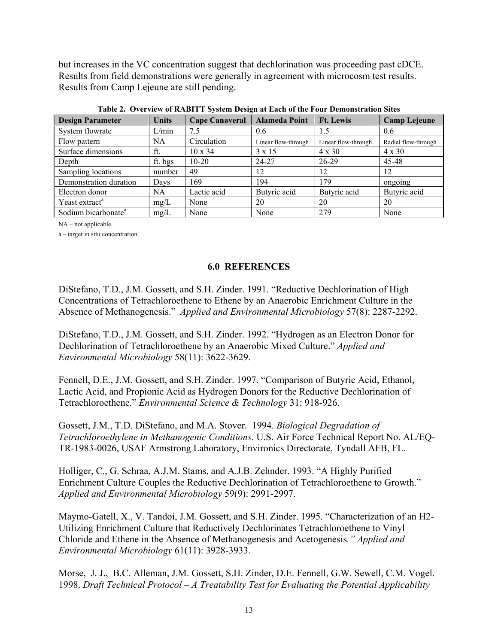<span id="page-14-0"></span>but increases in the VC concentration suggest that dechlorination was proceeding past cDCE. Results from field demonstrations were generally in agreement with microcosm test results. Results from Camp Lejeune are still pending.

| <b>Design Parameter</b>         | <b>Units</b> | <b>Cape Canaveral</b> | <b>Alameda Point</b> | <b>Ft.</b> Lewis    | <b>Camp Lejeune</b> |
|---------------------------------|--------------|-----------------------|----------------------|---------------------|---------------------|
| System flowrate                 | L/min        | 7.5                   | 0.6                  | 1.5                 | 0.6                 |
| Flow pattern                    | NA           | Circulation           | Linear flow-through  | Linear flow-through | Radial flow-through |
| Surface dimensions              | ft.          | $10 \times 34$        | $3 \times 15$        | $4 \times 30$       | $4 \times 30$       |
| Depth                           | ft. bgs      | $10 - 20$             | 24-27                | $26-29$             | 45-48               |
| Sampling locations              | number       | 49                    | 12                   | 12                  | 12                  |
| Demonstration duration          | Days         | 169                   | 194                  | 179                 | ongoing             |
| Electron donor                  | <b>NA</b>    | Lactic acid           | Butyric acid         | Butyric acid        | Butyric acid        |
| Yeast extract <sup>a</sup>      | mg/L         | None                  | 20                   | 20                  | 20                  |
| Sodium bicarbonate <sup>a</sup> | mg/L         | None                  | None                 | 279                 | None                |

**Table 2. Overview of RABITT System Design at Each of the Four Demonstration Sites** 

NA – not applicable.

a – target in situ concentration.

#### **6.0 REFERENCES**

DiStefano, T.D., J.M. Gossett, and S.H. Zinder. 1991. "Reductive Dechlorination of High Concentrations of Tetrachloroethene to Ethene by an Anaerobic Enrichment Culture in the Absence of Methanogenesis." *Applied and Environmental Microbiology* 57(8): 2287-2292.

DiStefano, T.D., J.M. Gossett, and S.H. Zinder. 1992. "Hydrogen as an Electron Donor for Dechlorination of Tetrachloroethene by an Anaerobic Mixed Culture." *Applied and Environmental Microbiology* 58(11): 3622-3629.

Fennell, D.E., J.M. Gossett, and S.H. Zinder. 1997. "Comparison of Butyric Acid, Ethanol, Lactic Acid, and Propionic Acid as Hydrogen Donors for the Reductive Dechlorination of Tetrachloroethene*.*" *Environmental Science & Technology* 31: 918-926.

Gossett, J.M., T.D. DiStefano, and M.A. Stover. 1994. *Biological Degradation of Tetrachloroethylene in Methanogenic Conditions*. U.S. Air Force Technical Report No. AL/EQ-TR-1983-0026, USAF Armstrong Laboratory, Environics Directorate, Tyndall AFB, FL.

Holliger, C., G. Schraa, A.J.M. Stams, and A.J.B. Zehnder. 1993. "A Highly Purified Enrichment Culture Couples the Reductive Dechlorination of Tetrachloroethene to Growth." *Applied and Environmental Microbiology* 59(9): 2991-2997.

Maymo-Gatell, X., V. Tandoi, J.M. Gossett, and S.H. Zinder. 1995. "Characterization of an H2- Utilizing Enrichment Culture that Reductively Dechlorinates Tetrachloroethene to Vinyl Chloride and Ethene in the Absence of Methanogenesis and Acetogenesis*." Applied and Environmental Microbiology* 61(11): 3928-3933.

Morse, J. J., B.C. Alleman, J.M. Gossett, S.H. Zinder, D.E. Fennell, G.W. Sewell, C.M. Vogel. 1998. *Draft Technical Protocol – A Treatability Test for Evaluating the Potential Applicability*